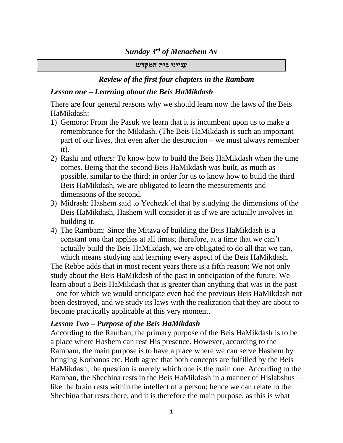#### *Sunday 3 rd of Menachem Av*

#### **ענייני בית המקדש**

### *Review of the first four chapters in the Rambam*

### *Lesson one – Learning about the Beis HaMikdash*

There are four general reasons why we should learn now the laws of the Beis HaMikdash:

- 1) Gemoro: From the Pasuk we learn that it is incumbent upon us to make a remembrance for the Mikdash. (The Beis HaMikdash is such an important part of our lives, that even after the destruction – we must always remember it).
- 2) Rashi and others: To know how to build the Beis HaMikdash when the time comes. Being that the second Beis HaMikdash was built, as much as possible, similar to the third; in order for us to know how to build the third Beis HaMikdash, we are obligated to learn the measurements and dimensions of the second.
- 3) Midrash: Hashem said to Yechezk'el that by studying the dimensions of the Beis HaMikdash, Hashem will consider it as if we are actually involves in building it.
- 4) The Rambam: Since the Mitzva of building the Beis HaMikdash is a constant one that applies at all times; therefore, at a time that we can't actually build the Beis HaMikdash, we are obligated to do all that we can, which means studying and learning every aspect of the Beis HaMikdash.

The Rebbe adds that in most recent years there is a fifth reason: We not only study about the Beis HaMikdash of the past in anticipation of the future. We learn about a Beis HaMikdash that is greater than anything that was in the past – one for which we would anticipate even had the previous Beis HaMikdash not been destroyed, and we study its laws with the realization that they are about to become practically applicable at this very moment.

### *Lesson Two – Purpose of the Beis HaMikdash*

According to the Ramban, the primary purpose of the Beis HaMikdash is to be a place where Hashem can rest His presence. However, according to the Rambam, the main purpose is to have a place where we can serve Hashem by bringing Korbanos etc. Both agree that both concepts are fulfilled by the Beis HaMikdash; the question is merely which one is the main one. According to the Ramban, the Shechina rests in the Beis HaMikdash in a manner of Hislabshus – like the brain rests within the intellect of a person; hence we can relate to the Shechina that rests there, and it is therefore the main purpose, as this is what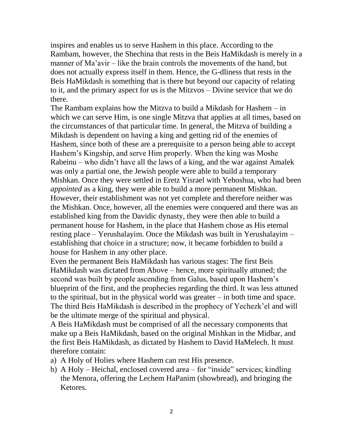inspires and enables us to serve Hashem in this place. According to the Rambam, however, the Shechina that rests in the Beis HaMikdash is merely in a manner of Ma'avir – like the brain controls the movements of the hand, but does not actually express itself in them. Hence, the G-dliness that rests in the Beis HaMikdash is something that is there but beyond our capacity of relating to it, and the primary aspect for us is the Mitzvos – Divine service that we do there.

The Rambam explains how the Mitzva to build a Mikdash for Hashem – in which we can serve Him, is one single Mitzva that applies at all times, based on the circumstances of that particular time. In general, the Mitzva of building a Mikdash is dependent on having a king and getting rid of the enemies of Hashem, since both of these are a prerequisite to a person being able to accept Hashem's Kingship, and serve Him properly. When the king was Moshe Rabeinu – who didn't have all the laws of a king, and the war against Amalek was only a partial one, the Jewish people were able to build a temporary Mishkan. Once they were settled in Eretz Yisrael with Yehoshua, who had been *appointed* as a king, they were able to build a more permanent Mishkan. However, their establishment was not yet complete and therefore neither was the Mishkan. Once, however, all the enemies were conquered and there was an established king from the Davidic dynasty, they were then able to build a permanent house for Hashem, in the place that Hashem chose as His eternal resting place – Yerushalayim. Once the Mikdash was built in Yerushalayim – establishing that choice in a structure; now, it became forbidden to build a house for Hashem in any other place.

Even the permanent Beis HaMikdash has various stages: The first Beis HaMikdash was dictated from Above – hence, more spiritually attuned; the second was built by people ascending from Galus, based upon Hashem's blueprint of the first, and the prophecies regarding the third. It was less attuned to the spiritual, but in the physical world was greater – in both time and space. The third Beis HaMikdash is described in the prophecy of Yechezk'el and will be the ultimate merge of the spiritual and physical.

A Beis HaMikdash must be comprised of all the necessary components that make up a Beis HaMikdash, based on the original Mishkan in the Midbar, and the first Beis HaMikdash, as dictated by Hashem to David HaMelech. It must therefore contain:

- a) A Holy of Holies where Hashem can rest His presence.
- b) A Holy Heichal, enclosed covered area for "inside" services; kindling the Menora, offering the Lechem HaPanim (showbread), and bringing the Ketores.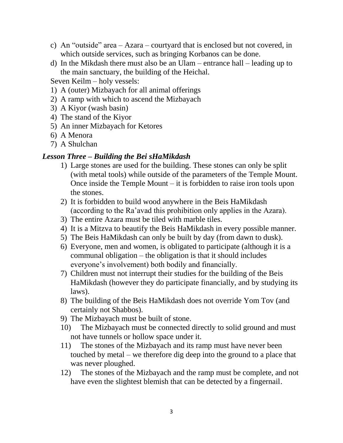- c) An "outside" area Azara courtyard that is enclosed but not covered, in which outside services, such as bringing Korbanos can be done.
- d) In the Mikdash there must also be an Ulam entrance hall leading up to the main sanctuary, the building of the Heichal.
- Seven Keilm holy vessels:
- 1) A (outer) Mizbayach for all animal offerings
- 2) A ramp with which to ascend the Mizbayach
- 3) A Kiyor (wash basin)
- 4) The stand of the Kiyor
- 5) An inner Mizbayach for Ketores
- 6) A Menora
- 7) A Shulchan

### *Lesson Three – Building the Bei sHaMikdash*

- 1) Large stones are used for the building. These stones can only be split (with metal tools) while outside of the parameters of the Temple Mount. Once inside the Temple Mount – it is forbidden to raise iron tools upon the stones.
- 2) It is forbidden to build wood anywhere in the Beis HaMikdash (according to the Ra'avad this prohibition only applies in the Azara).
- 3) The entire Azara must be tiled with marble tiles.
- 4) It is a Mitzva to beautify the Beis HaMikdash in every possible manner.
- 5) The Beis HaMikdash can only be built by day (from dawn to dusk).
- 6) Everyone, men and women, is obligated to participate (although it is a communal obligation – the obligation is that it should includes everyone's involvement) both bodily and financially.
- 7) Children must not interrupt their studies for the building of the Beis HaMikdash (however they do participate financially, and by studying its laws).
- 8) The building of the Beis HaMikdash does not override Yom Tov (and certainly not Shabbos).
- 9) The Mizbayach must be built of stone.
- 10) The Mizbayach must be connected directly to solid ground and must not have tunnels or hollow space under it.
- 11) The stones of the Mizbayach and its ramp must have never been touched by metal – we therefore dig deep into the ground to a place that was never ploughed.
- 12) The stones of the Mizbayach and the ramp must be complete, and not have even the slightest blemish that can be detected by a fingernail.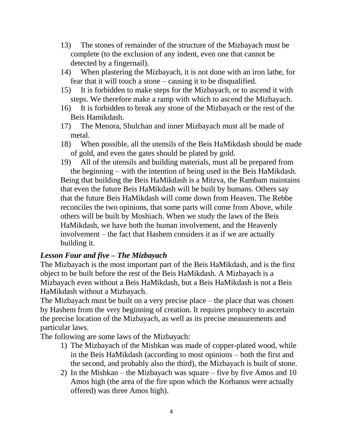- 13) The stones of remainder of the structure of the Mizbayach must be complete (to the exclusion of any indent, even one that cannot be detected by a fingernail).
- 14) When plastering the Mizbayach, it is not done with an iron lathe, for fear that it will touch a stone – causing it to be disqualified.
- 15) It is forbidden to make steps for the Mizbayach, or to ascend it with steps. We therefore make a ramp with which to ascend the Mizbayach.
- 16) It is forbidden to break any stone of the Mizbayach or the rest of the Beis Hamikdash.
- 17) The Menora, Shulchan and inner Mizbayach must all be made of metal.
- 18) When possible, all the utensils of the Beis HaMikdash should be made of gold, and even the gates should be plated by gold.
- 19) All of the utensils and building materials, must all be prepared from the beginning – with the intention of being used in the Beis HaMikdash.

Being that building the Beis HaMikdash is a Mitzva, the Rambam maintains that even the future Beis HaMikdash will be built by humans. Others say that the future Beis HaMikdash will come down from Heaven. The Rebbe reconciles the two opinions, that some parts will come from Above, while others will be built by Moshiach. When we study the laws of the Beis HaMikdash, we have both the human involvement, and the Heavenly involvement – the fact that Hashem considers it as if we are actually building it.

### *Lesson Four and five – The Mizbayach*

The Mizbayach is the most important part of the Beis HaMikdash, and is the first object to be built before the rest of the Beis HaMikdash. A Mizbayach is a Mizbayach even without a Beis HaMikdash, but a Beis HaMikdash is not a Beis HaMikdash without a Mizbayach.

The Mizbayach must be built on a very precise place – the place that was chosen by Hashem from the very beginning of creation. It requires prophecy to ascertain the precise location of the Mizbayach, as well as its precise measurements and particular laws.

The following are some laws of the Mizbayach:

- 1) The Mizbayach of the Mishkan was made of copper-plated wood, while in the Beis HaMikdash (according to most opinions – both the first and the second, and probably also the third), the Mizbayach is built of stone.
- 2) In the Mishkan the Mizbayach was square five by five Amos and 10 Amos high (the area of the fire upon which the Korbanos were actually offered) was three Amos high).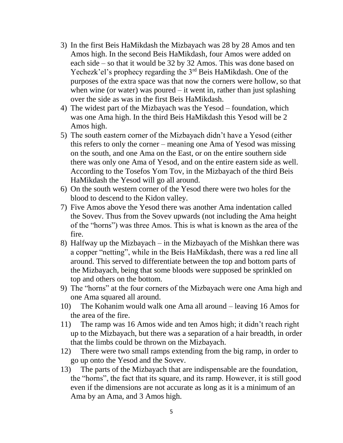- 3) In the first Beis HaMikdash the Mizbayach was 28 by 28 Amos and ten Amos high. In the second Beis HaMikdash, four Amos were added on each side – so that it would be 32 by 32 Amos. This was done based on Yechezk'el's prophecy regarding the 3<sup>rd</sup> Beis HaMikdash. One of the purposes of the extra space was that now the corners were hollow, so that when wine (or water) was poured  $-$  it went in, rather than just splashing over the side as was in the first Beis HaMikdash.
- 4) The widest part of the Mizbayach was the Yesod foundation, which was one Ama high. In the third Beis HaMikdash this Yesod will be 2 Amos high.
- 5) The south eastern corner of the Mizbayach didn't have a Yesod (either this refers to only the corner – meaning one Ama of Yesod was missing on the south, and one Ama on the East, or on the entire southern side there was only one Ama of Yesod, and on the entire eastern side as well. According to the Tosefos Yom Tov, in the Mizbayach of the third Beis HaMikdash the Yesod will go all around.
- 6) On the south western corner of the Yesod there were two holes for the blood to descend to the Kidon valley.
- 7) Five Amos above the Yesod there was another Ama indentation called the Sovev. Thus from the Sovev upwards (not including the Ama height of the "horns") was three Amos. This is what is known as the area of the fire.
- 8) Halfway up the Mizbayach in the Mizbayach of the Mishkan there was a copper "netting", while in the Beis HaMikdash, there was a red line all around. This served to differentiate between the top and bottom parts of the Mizbayach, being that some bloods were supposed be sprinkled on top and others on the bottom.
- 9) The "horns" at the four corners of the Mizbayach were one Ama high and one Ama squared all around.
- 10) The Kohanim would walk one Ama all around leaving 16 Amos for the area of the fire.
- 11) The ramp was 16 Amos wide and ten Amos high; it didn't reach right up to the Mizbayach, but there was a separation of a hair breadth, in order that the limbs could be thrown on the Mizbayach.
- 12) There were two small ramps extending from the big ramp, in order to go up onto the Yesod and the Sovev.
- 13) The parts of the Mizbayach that are indispensable are the foundation, the "horns", the fact that its square, and its ramp. However, it is still good even if the dimensions are not accurate as long as it is a minimum of an Ama by an Ama, and 3 Amos high.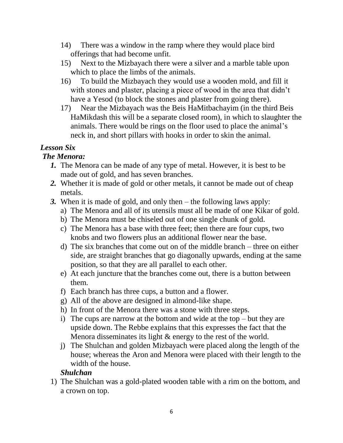- 14) There was a window in the ramp where they would place bird offerings that had become unfit.
- 15) Next to the Mizbayach there were a silver and a marble table upon which to place the limbs of the animals.
- 16) To build the Mizbayach they would use a wooden mold, and fill it with stones and plaster, placing a piece of wood in the area that didn't have a Yesod (to block the stones and plaster from going there).
- 17) Near the Mizbayach was the Beis HaMitbachayim (in the third Beis HaMikdash this will be a separate closed room), in which to slaughter the animals. There would be rings on the floor used to place the animal's neck in, and short pillars with hooks in order to skin the animal.

# *Lesson Six*

# *The Menora:*

- *1.* The Menora can be made of any type of metal. However, it is best to be made out of gold, and has seven branches.
- *2.* Whether it is made of gold or other metals, it cannot be made out of cheap metals.
- *3.* When it is made of gold, and only then the following laws apply:
	- a) The Menora and all of its utensils must all be made of one Kikar of gold.
	- b) The Menora must be chiseled out of one single chunk of gold.
	- c) The Menora has a base with three feet; then there are four cups, two knobs and two flowers plus an additional flower near the base.
	- d) The six branches that come out on of the middle branch three on either side, are straight branches that go diagonally upwards, ending at the same position, so that they are all parallel to each other.
	- e) At each juncture that the branches come out, there is a button between them.
	- f) Each branch has three cups, a button and a flower.
	- g) All of the above are designed in almond-like shape.
	- h) In front of the Menora there was a stone with three steps.
	- i) The cups are narrow at the bottom and wide at the top but they are upside down. The Rebbe explains that this expresses the fact that the Menora disseminates its light & energy to the rest of the world.
	- j) The Shulchan and golden Mizbayach were placed along the length of the house; whereas the Aron and Menora were placed with their length to the width of the house.

### *Shulchan*

1) The Shulchan was a gold-plated wooden table with a rim on the bottom, and a crown on top.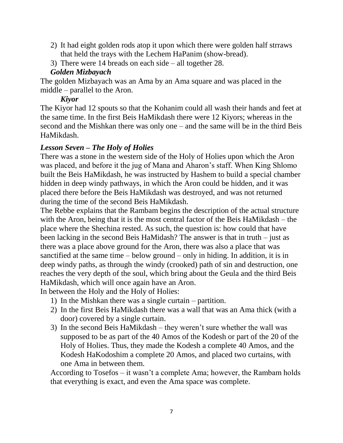- 2) It had eight golden rods atop it upon which there were golden half strraws that held the trays with the Lechem HaPanim (show-bread).
- 3) There were 14 breads on each side all together 28.

# *Golden Mizbayach*

The golden Mizbayach was an Ama by an Ama square and was placed in the middle – parallel to the Aron.

### *Kiyor*

The Kiyor had 12 spouts so that the Kohanim could all wash their hands and feet at the same time. In the first Beis HaMikdash there were 12 Kiyors; whereas in the second and the Mishkan there was only one – and the same will be in the third Beis HaMikdash.

# *Lesson Seven – The Holy of Holies*

There was a stone in the western side of the Holy of Holies upon which the Aron was placed, and before it the jug of Mana and Aharon's staff. When King Shlomo built the Beis HaMikdash, he was instructed by Hashem to build a special chamber hidden in deep windy pathways, in which the Aron could be hidden, and it was placed there before the Beis HaMikdash was destroyed, and was not returned during the time of the second Beis HaMikdash.

The Rebbe explains that the Rambam begins the description of the actual structure with the Aron, being that it is the most central factor of the Beis HaMikdash – the place where the Shechina rested. As such, the question is: how could that have been lacking in the second Beis HaMidash? The answer is that in truth – just as there was a place above ground for the Aron, there was also a place that was sanctified at the same time – below ground – only in hiding. In addition, it is in deep windy paths, as through the windy (crooked) path of sin and destruction, one reaches the very depth of the soul, which bring about the Geula and the third Beis HaMikdash, which will once again have an Aron.

In between the Holy and the Holy of Holies:

- 1) In the Mishkan there was a single curtain partition.
- 2) In the first Beis HaMikdash there was a wall that was an Ama thick (with a door) covered by a single curtain.
- 3) In the second Beis HaMikdash they weren't sure whether the wall was supposed to be as part of the 40 Amos of the Kodesh or part of the 20 of the Holy of Holies. Thus, they made the Kodesh a complete 40 Amos, and the Kodesh HaKodoshim a complete 20 Amos, and placed two curtains, with one Ama in between them.

According to Tosefos – it wasn't a complete Ama; however, the Rambam holds that everything is exact, and even the Ama space was complete.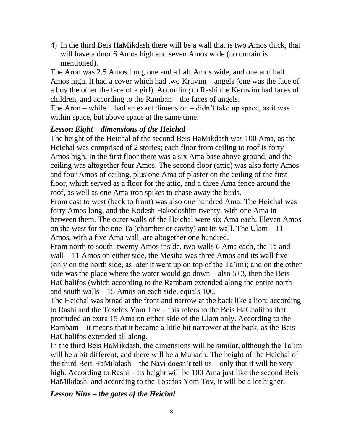4) In the third Beis HaMikdash there will be a wall that is two Amos thick, that will have a door 6 Amos high and seven Amos wide (no curtain is mentioned).

The Aron was 2.5 Amos long, one and a half Amos wide, and one and half Amos high. It had a cover which had two Kruvim – angels (one was the face of a boy the other the face of a girl). According to Rashi the Keruvim had faces of children, and according to the Ramban – the faces of angels.

The Aron – while it had an exact dimension – didn't take up space, as it was within space, but above space at the same time.

### *Lesson Eight – dimensions of the Heichal*

The height of the Heichal of the second Beis HaMikdash was 100 Ama, as the Heichal was comprised of 2 stories; each floor from ceiling to roof is forty Amos high. In the first floor there was a six Ama base above ground, and the ceiling was altogether four Amos. The second floor (attic) was also forty Amos and four Amos of ceiling, plus one Ama of plaster on the ceiling of the first floor, which served as a floor for the attic, and a three Ama fence around the roof, as well as one Ama iron spikes to chase away the birds.

From east to west (back to front) was also one hundred Ama: The Heichal was forty Amos long, and the Kodesh Hakodoshim twenty, with one Ama in between them. The outer walls of the Heichal were six Ama each. Eleven Amos on the west for the one Ta (chamber or cavity) ant its wall. The Ulam – 11 Amos, with a five Ama wall, are altogether one hundred.

From north to south: twenty Amos inside, two walls 6 Ama each, the Ta and wall – 11 Amos on either side, the Mesiba was three Amos and its wall five (only on the north side, as later it went up on top of the Ta'im); and on the other side was the place where the water would go down  $-$  also 5+3, then the Beis HaChalifos (which according to the Rambam extended along the entire north and south walls – 15 Amos on each side, equals 100.

The Heichal was broad at the front and narrow at the back like a lion: according to Rashi and the Tosefos Yom Tov – this refers to the Beis HaChalifos that protruded an extra 15 Ama on either side of the Ulam only. According to the Rambam – it means that it became a little bit narrower at the back, as the Beis HaChalifos extended all along.

In the third Beis HaMikdash, the dimensions will be similar, although the Ta'im will be a bit different, and there will be a Munach. The height of the Heichal of the third Beis HaMikdash – the Navi doesn't tell us – only that it will be very high. According to Rashi – its height will be 100 Ama just like the second Beis HaMikdash, and according to the Tosefos Yom Tov, it will be a lot higher.

*Lesson Nine – the gates of the Heichal*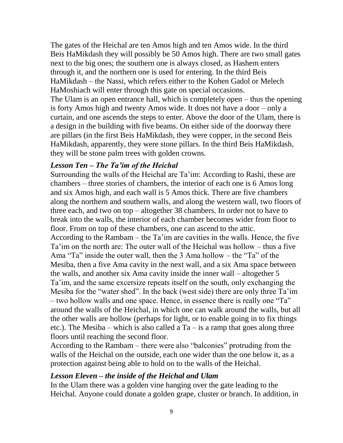The gates of the Heichal are ten Amos high and ten Amos wide. In the third Beis HaMikdash they will possibly be 50 Amos high. There are two small gates next to the big ones; the southern one is always closed, as Hashem enters through it, and the northern one is used for entering. In the third Beis HaMikdash – the Nassi, which refers either to the Kohen Gadol or Melech HaMoshiach will enter through this gate on special occasions. The Ulam is an open entrance hall, which is completely open – thus the opening is forty Amos high and twenty Amos wide. It does not have a door – only a curtain, and one ascends the steps to enter. Above the door of the Ulam, there is a design in the building with five beams. On either side of the doorway there are pillars (in the first Beis HaMikdash, they were copper, in the second Beis HaMikdash, apparently, they were stone pillars. In the third Beis HaMikdash, they will be stone palm trees with golden crowns.

### *Lesson Ten – The Ta'im of the Heichal*

Surrounding the walls of the Heichal are Ta'im: According to Rashi, these are chambers – three stories of chambers, the interior of each one is 6 Amos long and six Amos high, and each wall is 5 Amos thick. There are five chambers along the northern and southern walls, and along the western wall, two floors of three each, and two on top – altogether 38 chambers. In order not to have to break into the walls, the interior of each chamber becomes wider from floor to floor. From on top of these chambers, one can ascend to the attic. According to the Rambam – the Ta'im are cavities in the walls. Hence, the five Ta'im on the north are: The outer wall of the Heichal was hollow – thus a five Ama "Ta" inside the outer wall, then the 3 Ama hollow – the "Ta" of the Mesiba, then a five Ama cavity in the next wall, and a six Ama space between the walls, and another six Ama cavity inside the inner wall – altogether 5 Ta'im, and the same excersize repeats itself on the south, only exchanging the Mesiba for the "water shed". In the back (west side) there are only three Ta'im – two hollow walls and one space. Hence, in essence there is really one "Ta" around the walls of the Heichal, in which one can walk around the walls, but all the other walls are hollow (perhaps for light, or to enable going in to fix things etc.). The Mesiba – which is also called a  $Ta - is a ramp that goes along three$ floors until reaching the second floor.

According to the Rambam – there were also "balconies" protruding from the walls of the Heichal on the outside, each one wider than the one below it, as a protection against being able to hold on to the walls of the Heichal.

### *Lesson Eleven – the inside of the Heichal and Ulam*

In the Ulam there was a golden vine hanging over the gate leading to the Heichal. Anyone could donate a golden grape, cluster or branch. In addition, in